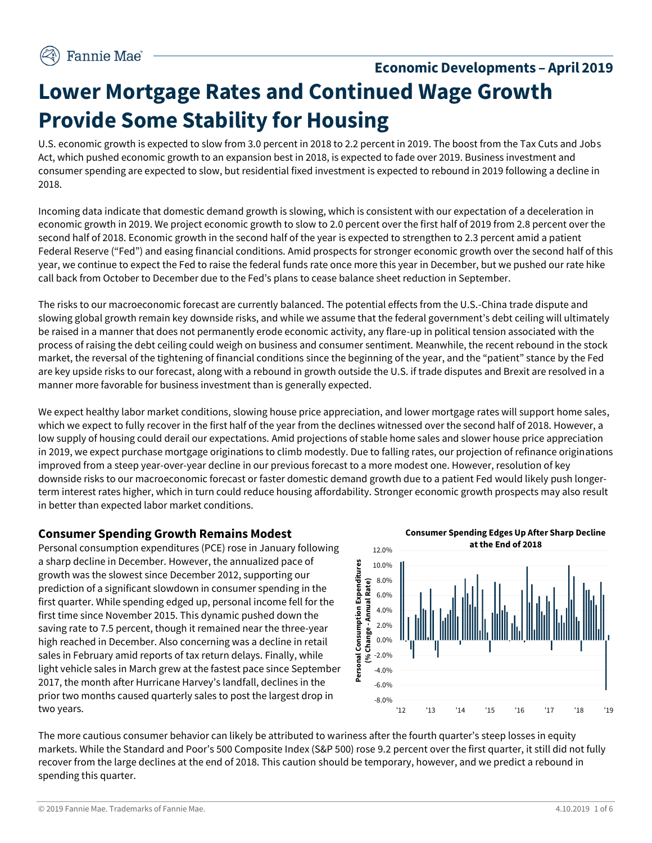# **Economic Developments – April 2019 Lower Mortgage Rates and Continued Wage Growth Provide Some Stability for Housing**

U.S. economic growth is expected to slow from 3.0 percent in 2018 to 2.2 percent in 2019. The boost from the Tax Cuts and Jobs Act, which pushed economic growth to an expansion best in 2018, is expected to fade over 2019. Business investment and consumer spending are expected to slow, but residential fixed investment is expected to rebound in 2019 following a decline in 2018.

Incoming data indicate that domestic demand growth is slowing, which is consistent with our expectation of a deceleration in economic growth in 2019. We project economic growth to slow to 2.0 percent over the first half of 2019 from 2.8 percent over the second half of 2018. Economic growth in the second half of the year is expected to strengthen to 2.3 percent amid a patient Federal Reserve ("Fed") and easing financial conditions. Amid prospects for stronger economic growth over the second half of this year, we continue to expect the Fed to raise the federal funds rate once more this year in December, but we pushed our rate hike call back from October to December due to the Fed's plans to cease balance sheet reduction in September.

The risks to our macroeconomic forecast are currently balanced. The potential effects from the U.S.-China trade dispute and slowing global growth remain key downside risks, and while we assume that the federal government's debt ceiling will ultimately be raised in a manner that does not permanently erode economic activity, any flare-up in political tension associated with the process of raising the debt ceiling could weigh on business and consumer sentiment. Meanwhile, the recent rebound in the stock market, the reversal of the tightening of financial conditions since the beginning of the year, and the "patient" stance by the Fed are key upside risks to our forecast, along with a rebound in growth outside the U.S. if trade disputes and Brexit are resolved in a manner more favorable for business investment than is generally expected.

We expect healthy labor market conditions, slowing house price appreciation, and lower mortgage rates will support home sales, which we expect to fully recover in the first half of the year from the declines witnessed over the second half of 2018. However, a low supply of housing could derail our expectations. Amid projections of stable home sales and slower house price appreciation in 2019, we expect purchase mortgage originations to climb modestly. Due to falling rates, our projection of refinance originations improved from a steep year-over-year decline in our previous forecast to a more modest one. However, resolution of key downside risks to our macroeconomic forecast or faster domestic demand growth due to a patient Fed would likely push longerterm interest rates higher, which in turn could reduce housing affordability. Stronger economic growth prospects may also result in better than expected labor market conditions.

## **Consumer Spending Growth Remains Modest**

Personal consumption expenditures (PCE) rose in January following a sharp decline in December. However, the annualized pace of growth was the slowest since December 2012, supporting our prediction of a significant slowdown in consumer spending in the first quarter. While spending edged up, personal income fell for the first time since November 2015. This dynamic pushed down the saving rate to 7.5 percent, though it remained near the three-year high reached in December. Also concerning was a decline in retail sales in February amid reports of tax return delays. Finally, while light vehicle sales in March grew at the fastest pace since September 2017, the month after Hurricane Harvey's landfall, declines in the prior two months caused quarterly sales to post the largest drop in two years.



The more cautious consumer behavior can likely be attributed to wariness after the fourth quarter's steep losses in equity markets. While the Standard and Poor's 500 Composite Index (S&P 500) rose 9.2 percent over the first quarter, it still did not fully recover from the large declines at the end of 2018. This caution should be temporary, however, and we predict a rebound in spending this quarter.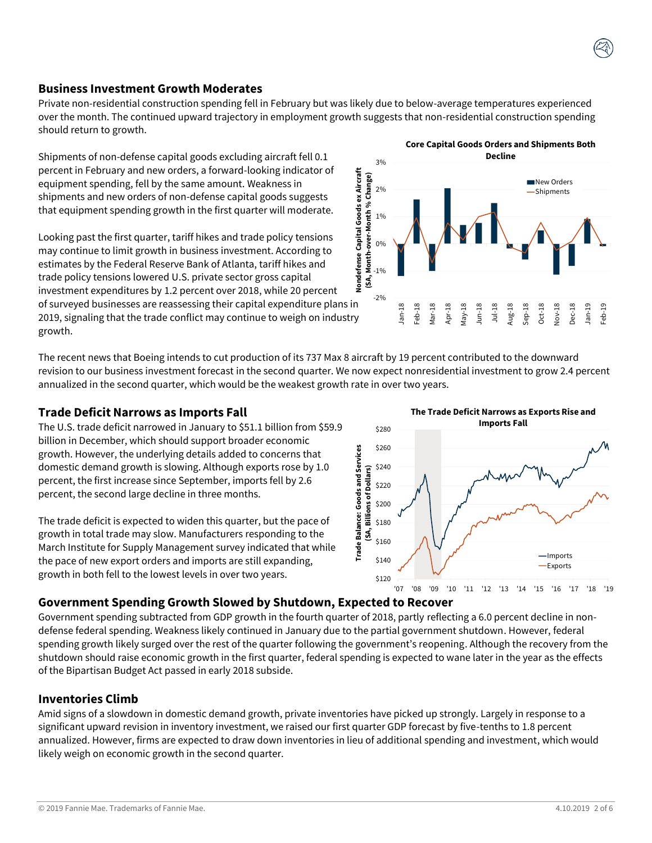#### **Business Investment Growth Moderates**

Private non-residential construction spending fell in February but was likely due to below-average temperatures experienced over the month. The continued upward trajectory in employment growth suggests that non-residential construction spending should return to growth.

Shipments of non-defense capital goods excluding aircraft fell 0.1 percent in February and new orders, a forward-looking indicator of equipment spending, fell by the same amount. Weakness in shipments and new orders of non-defense capital goods suggests that equipment spending growth in the first quarter will moderate.

Looking past the first quarter, tariff hikes and trade policy tensions may continue to limit growth in business investment. According to estimates by the Federal Reserve Bank of Atlanta, tariff hikes and trade policy tensions lowered U.S. private sector gross capital investment expenditures by 1.2 percent over 2018, while 20 percent of surveyed businesses are reassessing their capital expenditure plans in 2019, signaling that the trade conflict may continue to weigh on industry growth.

The recent news that Boeing intends to cut production of its 737 Max 8 aircraft by 19 percent contributed to the downward revision to our business investment forecast in the second quarter. We now expect nonresidential investment to grow 2.4 percent annualized in the second quarter, which would be the weakest growth rate in over two years.

#### **Trade Deficit Narrows as Imports Fall**

The U.S. trade deficit narrowed in January to \$51.1 billion from \$59.9 billion in December, which should support broader economic growth. However, the underlying details added to concerns that domestic demand growth is slowing. Although exports rose by 1.0 percent, the first increase since September, imports fell by 2.6 percent, the second large decline in three months.

The trade deficit is expected to widen this quarter, but the pace of growth in total trade may slow. Manufacturers responding to the March Institute for Supply Management survey indicated that while the pace of new export orders and imports are still expanding, growth in both fell to the lowest levels in over two years.

## **Government Spending Growth Slowed by Shutdown, Expected to Recover**

Government spending subtracted from GDP growth in the fourth quarter of 2018, partly reflecting a 6.0 percent decline in nondefense federal spending. Weakness likely continued in January due to the partial government shutdown. However, federal spending growth likely surged over the rest of the quarter following the government's reopening. Although the recovery from the shutdown should raise economic growth in the first quarter, federal spending is expected to wane later in the year as the effects of the Bipartisan Budget Act passed in early 2018 subside.

#### **Inventories Climb**

Amid signs of a slowdown in domestic demand growth, private inventories have picked up strongly. Largely in response to a significant upward revision in inventory investment, we raised our first quarter GDP forecast by five-tenths to 1.8 percent annualized. However, firms are expected to draw down inventories in lieu of additional spending and investment, which would likely weigh on economic growth in the second quarter.



**The Trade Deficit Narrows as Exports Rise and** 



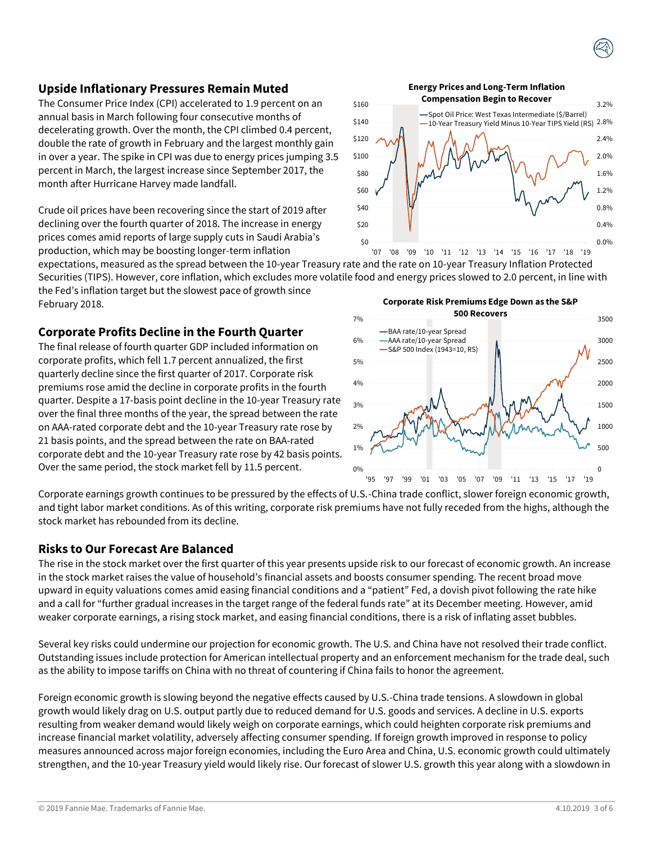#### **Upside Inflationary Pressures Remain Muted**

The Consumer Price Index (CPI) accelerated to 1.9 percent on an annual basis in March following four consecutive months of decelerating growth. Over the month, the CPI climbed 0.4 percent, double the rate of growth in February and the largest monthly gain in over a year. The spike in CPI was due to energy prices jumping 3.5 percent in March, the largest increase since September 2017, the month after Hurricane Harvey made landfall.

Crude oil prices have been recovering since the start of 2019 after declining over the fourth quarter of 2018. The increase in energy prices comes amid reports of large supply cuts in Saudi Arabia's production, which may be boosting longer-term inflation

expectations, measured as the spread between the 10-year Treasury rate and the rate on 10-year Treasury Inflation Protected Securities (TIPS). However, core inflation, which excludes more volatile food and energy prices slowed to 2.0 percent, in line with the Fed's inflation target but the slowest pace of growth since February 2018.

#### **Corporate Profits Decline in the Fourth Quarter**

The final release of fourth quarter GDP included information on corporate profits, which fell 1.7 percent annualized, the first quarterly decline since the first quarter of 2017. Corporate risk premiums rose amid the decline in corporate profits in the fourth quarter. Despite a 17-basis point decline in the 10-year Treasury rate over the final three months of the year, the spread between the rate on AAA-rated corporate debt and the 10-year Treasury rate rose by 21 basis points, and the spread between the rate on BAA-rated corporate debt and the 10-year Treasury rate rose by 42 basis points. Over the same period, the stock market fell by 11.5 percent.

Corporate earnings growth continues to be pressured by the effects of U.S.-China trade conflict, slower foreign economic growth, and tight labor market conditions. As of this writing, corporate risk premiums have not fully receded from the highs, although the stock market has rebounded from its decline.

#### **Risks to Our Forecast Are Balanced**

The rise in the stock market over the first quarter of this year presents upside risk to our forecast of economic growth. An increase in the stock market raises the value of household's financial assets and boosts consumer spending. The recent broad move upward in equity valuations comes amid easing financial conditions and a "patient" Fed, a dovish pivot following the rate hike and a call for "further gradual increases in the target range of the federal funds rate" at its December meeting. However, amid weaker corporate earnings, a rising stock market, and easing financial conditions, there is a risk of inflating asset bubbles.

Several key risks could undermine our projection for economic growth. The U.S. and China have not resolved their trade conflict. Outstanding issues include protection for American intellectual property and an enforcement mechanism for the trade deal, such as the ability to impose tariffs on China with no threat of countering if China fails to honor the agreement.

Foreign economic growth is slowing beyond the negative effects caused by U.S.-China trade tensions. A slowdown in global growth would likely drag on U.S. output partly due to reduced demand for U.S. goods and services. A decline in U.S. exports resulting from weaker demand would likely weigh on corporate earnings, which could heighten corporate risk premiums and increase financial market volatility, adversely affecting consumer spending. If foreign growth improved in response to policy measures announced across major foreign economies, including the Euro Area and China, U.S. economic growth could ultimately strengthen, and the 10-year Treasury yield would likely rise. Our forecast of slower U.S. growth this year along with a slowdown in

**Energy Prices and Long-Term Inflation Compensation Begin to Recover**







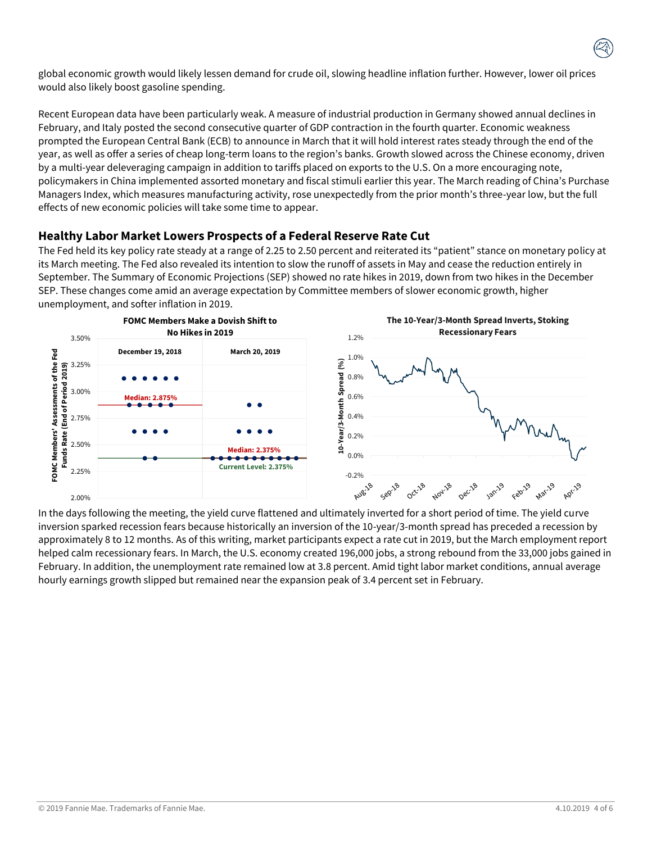global economic growth would likely lessen demand for crude oil, slowing headline inflation further. However, lower oil prices would also likely boost gasoline spending.

Recent European data have been particularly weak. A measure of industrial production in Germany showed annual declines in February, and Italy posted the second consecutive quarter of GDP contraction in the fourth quarter. Economic weakness prompted the European Central Bank (ECB) to announce in March that it will hold interest rates steady through the end of the year, as well as offer a series of cheap long-term loans to the region's banks. Growth slowed across the Chinese economy, driven by a multi-year deleveraging campaign in addition to tariffs placed on exports to the U.S. On a more encouraging note, policymakers in China implemented assorted monetary and fiscal stimuli earlier this year. The March reading of China's Purchase Managers Index, which measures manufacturing activity, rose unexpectedly from the prior month's three-year low, but the full effects of new economic policies will take some time to appear.

## **Healthy Labor Market Lowers Prospects of a Federal Reserve Rate Cut**

The Fed held its key policy rate steady at a range of 2.25 to 2.50 percent and reiterated its "patient" stance on monetary policy at its March meeting. The Fed also revealed its intention to slow the runoff of assets in May and cease the reduction entirely in September. The Summary of Economic Projections (SEP) showed no rate hikes in 2019, down from two hikes in the December SEP. These changes come amid an average expectation by Committee members of slower economic growth, higher unemployment, and softer inflation in 2019.



In the days following the meeting, the yield curve flattened and ultimately inverted for a short period of time. The yield curve inversion sparked recession fears because historically an inversion of the 10-year/3-month spread has preceded a recession by approximately 8 to 12 months. As of this writing, market participants expect a rate cut in 2019, but the March employment report helped calm recessionary fears. In March, the U.S. economy created 196,000 jobs, a strong rebound from the 33,000 jobs gained in February. In addition, the unemployment rate remained low at 3.8 percent. Amid tight labor market conditions, annual average hourly earnings growth slipped but remained near the expansion peak of 3.4 percent set in February.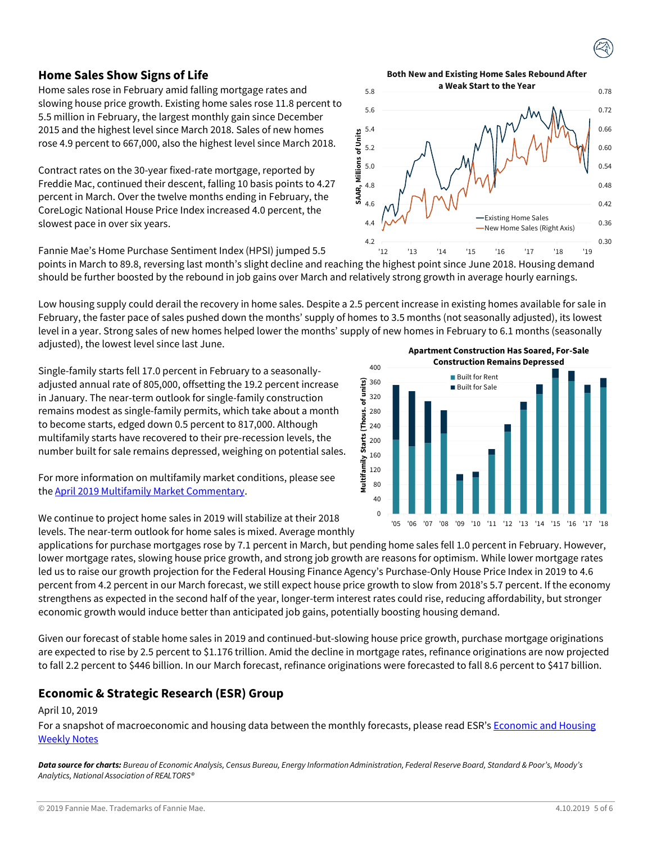#### **Home Sales Show Signs of Life**

Home sales rose in February amid falling mortgage rates and slowing house price growth. Existing home sales rose 11.8 percent to 5.5 million in February, the largest monthly gain since December 2015 and the highest level since March 2018. Sales of new homes rose 4.9 percent to 667,000, also the highest level since March 2018.

Contract rates on the 30-year fixed-rate mortgage, reported by Freddie Mac, continued their descent, falling 10 basis points to 4.27 percent in March. Over the twelve months ending in February, the CoreLogic National House Price Index increased 4.0 percent, the slowest pace in over six years.

Fannie Mae's Home Purchase Sentiment Index (HPSI) jumped 5.5

points in March to 89.8, reversing last month's slight decline and reaching the highest point since June 2018. Housing demand should be further boosted by the rebound in job gains over March and relatively strong growth in average hourly earnings.

Low housing supply could derail the recovery in home sales. Despite a 2.5 percent increase in existing homes available for sale in February, the faster pace of sales pushed down the months' supply of homes to 3.5 months (not seasonally adjusted), its lowest level in a year. Strong sales of new homes helped lower the months' supply of new homes in February to 6.1 months (seasonally adjusted), the lowest level since last June.

Single-family starts fell 17.0 percent in February to a seasonallyadjusted annual rate of 805,000, offsetting the 19.2 percent increase in January. The near-term outlook for single-family construction remains modest as single-family permits, which take about a month to become starts, edged down 0.5 percent to 817,000. Although multifamily starts have recovered to their pre-recession levels, the number built for sale remains depressed, weighing on potential sales.

For more information on multifamily market conditions, please see the [April 2019 Multifamily Market Commentary.](http://www.fanniemae.com/resources/file/research/emma/pdf/MF_Market_Commentary_041819.pdf)

We continue to project home sales in 2019 will stabilize at their 2018 levels. The near-term outlook for home sales is mixed. Average monthly applications for purchase mortgages rose by 7.1 percent in March, but pending home sales fell 1.0 percent in February. However,

lower mortgage rates, slowing house price growth, and strong job growth are reasons for optimism. While lower mortgage rates led us to raise our growth projection for the Federal Housing Finance Agency's Purchase-Only House Price Index in 2019 to 4.6 percent from 4.2 percent in our March forecast, we still expect house price growth to slow from 2018's 5.7 percent. If the economy strengthens as expected in the second half of the year, longer-term interest rates could rise, reducing affordability, but stronger economic growth would induce better than anticipated job gains, potentially boosting housing demand.

Given our forecast of stable home sales in 2019 and continued-but-slowing house price growth, purchase mortgage originations are expected to rise by 2.5 percent to \$1.176 trillion. Amid the decline in mortgage rates, refinance originations are now projected to fall 2.2 percent to \$446 billion. In our March forecast, refinance originations were forecasted to fall 8.6 percent to \$417 billion.

## **Economic & Strategic Research (ESR) Group**

#### April 10, 2019

For a snapshot of macroeconomic and housing data between the monthly forecasts, please read ESR's Economic and Housing [Weekly Notes](http://fanniemae.com/portal/research-insights/forecast/weekly-archive.html)

*Data source for charts: Bureau of Economic Analysis, Census Bureau, Energy Information Administration, Federal Reserve Board, Standard & Poor's, Moody's Analytics, National Association of REALTORS®* 

**Apartment Construction Has Soared, For-Sale Construction Remains Depressed**







5.8 **Both New and Existing Home Sales Rebound After a Weak Start to the Year**